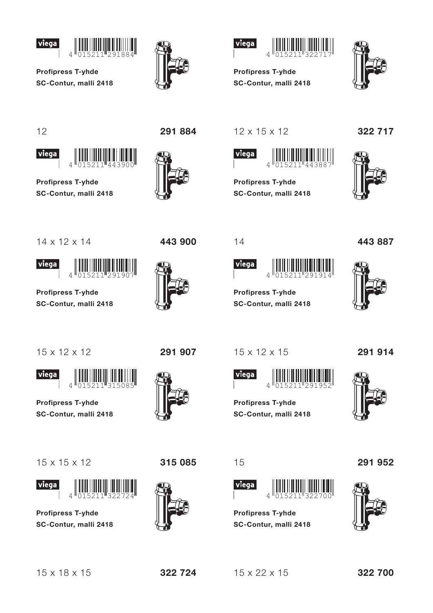



 $\overline{A}$ 





**Profipress T-yhde** SC-Contur, malli 2418



 $12$ 

viega



**Profipress T-yhde** SC-Contur, malli 2418



443 900



 $12 \times 15 \times 12$ 

 $14$ 

viega

**Profipress T-yhde** 

 $15 \times 12 \times 15$ 

 $\overline{\Lambda}$ 

**Profipress T-yhde** SC-Contur, malli 2418

viega

SC-Contur, malli 2418



**Profipress T-yhde** SC-Contur, malli 2418 322 717



 $14 \times 12 \times 14$ 





**Profipress T-yhde** SC-Contur, malli 2418



15 x 12 x 12

291 907



**Profipress T-yhde** SC-Contur, malli 2418





**Profipress T-yhde** SC-Contur, malli 2418





15



**Profipress T-yhde** SC-Contur, malli 2418





291 914



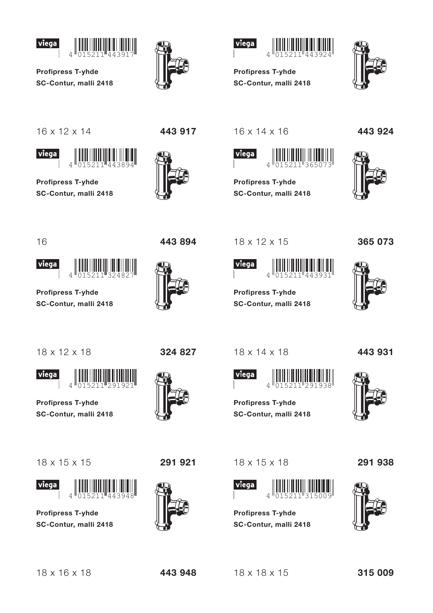







**Profipress T-yhde** SC-Contur, malli 2418



 $16 \times 12 \times 14$ 





**Profipress T-yhde** SC-Contur, malli 2418





 $16 \times 14 \times 16$ 

18 x 12 x 15

**Profipress T-yhde** 

18 x 14 x 18

 $\overline{\Lambda}$ 

**Profipress T-yhde** SC-Contur, malli 2418

viega

SC-Contur, malli 2418

viega



**Profipress T-yhde** SC-Contur, malli 2418 443 924



16

443 894



**Profipress T-yhde** SC-Contur, malli 2418

18 x 12 x 18

**Viega** 

**Profipress T-yhde** SC-Contur, malli 2418

 $\overline{\Lambda}$ 





**Profipress T-yhde** SC-Contur. malli 2418



324 827

291 921



 $18 \times 15 \times 18$ 



**Profipress T-yhde** SC-Contur, malli 2418





443 931



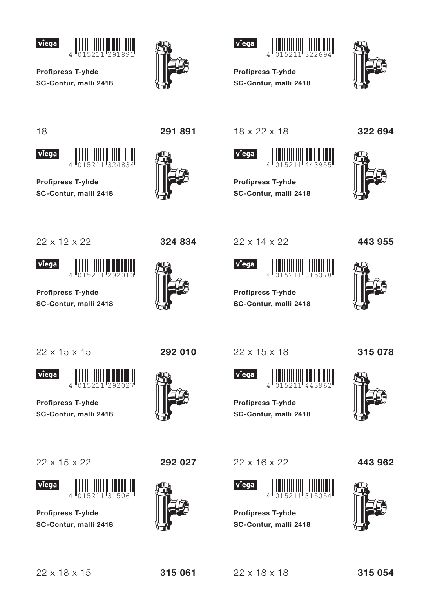







18

viega



**Profipress T-yhde** SC-Contur, malli 2418

 $\overline{A}$ 

291 891





**Profipress T-yhde** 

SC-Contur, malli 2418



**Profipress T-yhde** SC-Contur, malli 2418 322 694



22 x 12 x 22





**Profipress T-yhde** SC-Contur, malli 2418



324 834

22 x 14 x 22



**Profipress T-yhde** SC-Contur, malli 2418 443 955



22 x 15 x 15

**Viega** 

**Profipress T-yhde** SC-Contur, malli 2418

 $\overline{\Lambda}$ 

22 x 15 x 22



**Profipress T-yhde** SC-Contur. malli 2418



292 027

292 010

22 x 15 x 18





315 078

**Profipress T-yhde** SC-Contur, malli 2418

22 x 16 x 22

 $\overline{A}$ 

SC-Contur, malli 2418

**Profipress T-yhde** 

viega

443 962



 $22 \times 18 \times 15$ 

315 061

 $22 \times 18 \times 18$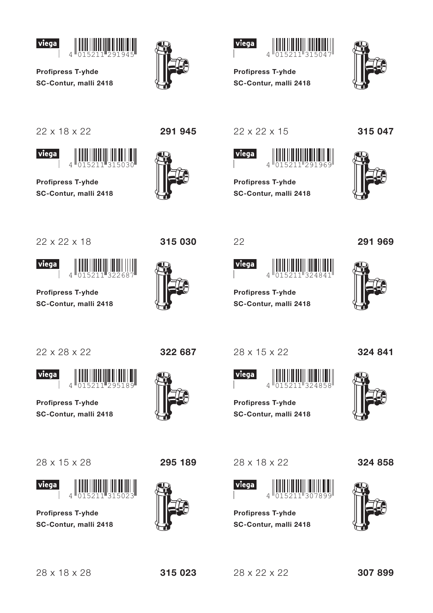







**Profipress T-yhde** SC-Contur, malli 2418



22 x 18 x 22





**Profipress T-yhde** SC-Contur, malli 2418





315 030

22 x 22 x 15



**Profipress T-yhde** SC-Contur, malli 2418





291 969

22 x 22 x 18





**Profipress T-yhde** SC-Contur, malli 2418



**Viega** 

**Profipress T-yhde** SC-Contur, malli 2418

 $\overline{\Lambda}$ 

28 x 15 x 28



**Profipress T-yhde** SC-Contur, malli 2418



295 189

322 687

22

viega

28 x 15 x 22

**Profipress T-yhde** 

SC-Contur, malli 2418

**Profipress T-yhde** 

SC-Contur, malli 2418

324 841





28 x 18 x 22



**Profipress T-yhde** SC-Contur, malli 2418





315 023

 $28 \times 22 \times 22$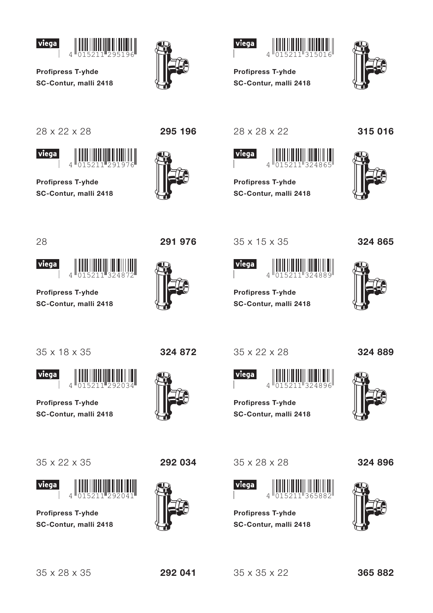







**Profipress T-yhde** SC-Contur, malli 2418



28 x 22 x 28





**Profipress T-yhde** SC-Contur, malli 2418



28 x 28 x 22

35 x 15 x 35

**Profipress T-yhde** 

SC-Contur, malli 2418

viega



**Profipress T-yhde** SC-Contur, malli 2418





28





**Profipress T-yhde** SC-Contur, malli 2418

35 x 18 x 35



 $\overline{\Lambda}$ 

**Profipress T-yhde** SC-Contur, malli 2418





**Profipress T-yhde** SC-Contur, malli 2418



292 034

35 x 22 x 28



324 865

324 889





**Profipress T-yhde** SC-Contur, malli 2418

35 x 28 x 28



**Profipress T-yhde** SC-Contur, malli 2418 324 896



 $35 \times 35 \times 22$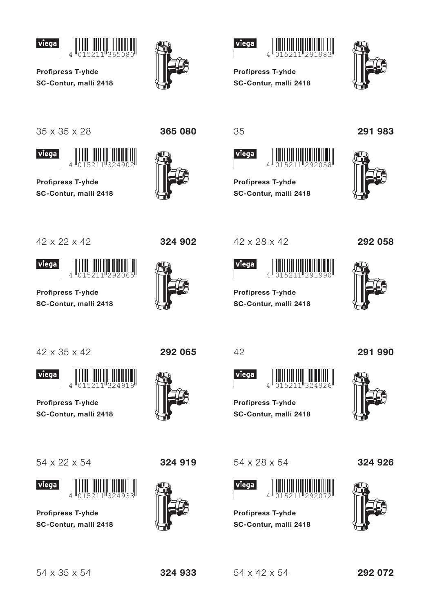







**Profipress T-yhde** SC-Contur, malli 2418



35 x 35 x 28





**Profipress T-yhde** SC-Contur, malli 2418



324 902

365 080

35



**Profipress T-yhde** SC-Contur, malli 2418

42 x 28 x 42

**Profipress T-yhde** 

SC-Contur, malli 2418

 $\overline{\Lambda}$ 

**Profipress T-yhde** 

SC-Contur, malli 2418

viega

42

viega

291 983



292 058





42 x 22 x 42

viega

**Profipress T-yhde** SC-Contur, malli 2418

42 x 35 x 42

**Viega** 

**Profipress T-yhde** SC-Contur, malli 2418

 $\overline{A}$ 





**Profipress T-yhde** SC-Contur, malli 2418



292 065

324 919



54 x 28 x 54



**Profipress T-yhde** SC-Contur, malli 2418





324 926



 $54 \times 42 \times 54$